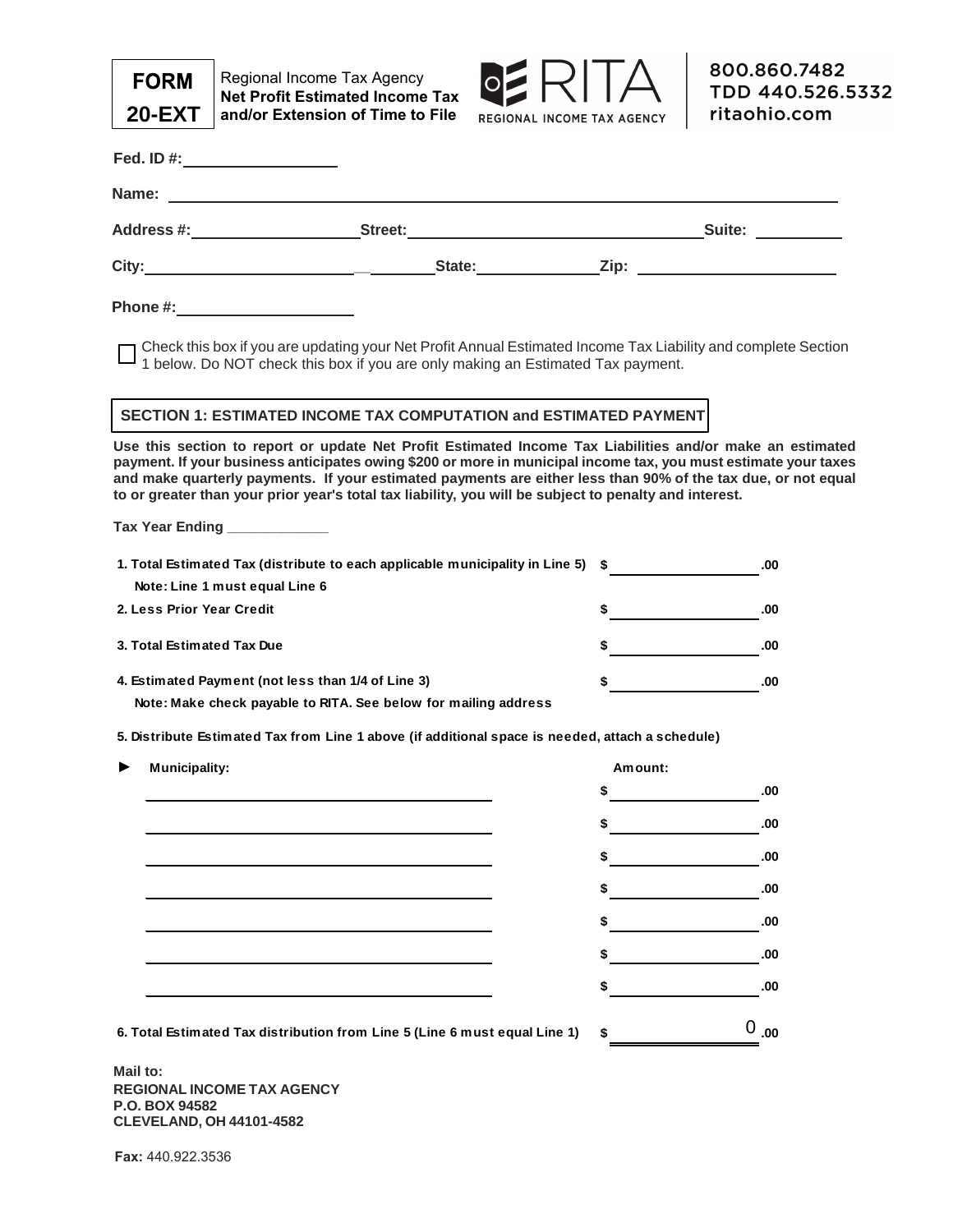

Regional Income Tax Agency **Net Profit Estimated Income Tax and/or Extension of Time to File**



| Fed. ID #: ____________________                                            |                                                                                                                                                                                                                                                                                                                                                                                                                                                         |                                       |           |
|----------------------------------------------------------------------------|---------------------------------------------------------------------------------------------------------------------------------------------------------------------------------------------------------------------------------------------------------------------------------------------------------------------------------------------------------------------------------------------------------------------------------------------------------|---------------------------------------|-----------|
|                                                                            |                                                                                                                                                                                                                                                                                                                                                                                                                                                         |                                       |           |
|                                                                            |                                                                                                                                                                                                                                                                                                                                                                                                                                                         |                                       |           |
|                                                                            |                                                                                                                                                                                                                                                                                                                                                                                                                                                         |                                       |           |
| Phone #: ______________________                                            |                                                                                                                                                                                                                                                                                                                                                                                                                                                         |                                       |           |
|                                                                            | Check this box if you are updating your Net Profit Annual Estimated Income Tax Liability and complete Section<br>1 below. Do NOT check this box if you are only making an Estimated Tax payment.                                                                                                                                                                                                                                                        |                                       |           |
|                                                                            | SECTION 1: ESTIMATED INCOME TAX COMPUTATION and ESTIMATED PAYMENT                                                                                                                                                                                                                                                                                                                                                                                       |                                       |           |
|                                                                            | Use this section to report or update Net Profit Estimated Income Tax Liabilities and/or make an estimated<br>payment. If your business anticipates owing \$200 or more in municipal income tax, you must estimate your taxes<br>and make quarterly payments. If your estimated payments are either less than 90% of the tax due, or not equal<br>to or greater than your prior year's total tax liability, you will be subject to penalty and interest. |                                       |           |
| Tax Year Ending _____________                                              |                                                                                                                                                                                                                                                                                                                                                                                                                                                         |                                       |           |
|                                                                            | 1. Total Estimated Tax (distribute to each applicable municipality in Line 5) \$                                                                                                                                                                                                                                                                                                                                                                        |                                       | .00       |
| Note: Line 1 must equal Line 6                                             |                                                                                                                                                                                                                                                                                                                                                                                                                                                         |                                       |           |
| 2. Less Prior Year Credit                                                  |                                                                                                                                                                                                                                                                                                                                                                                                                                                         | $\frac{1}{2}$                         | .00       |
| 3. Total Estimated Tax Due                                                 |                                                                                                                                                                                                                                                                                                                                                                                                                                                         | <u> 1990 - Jan Barbara III, martx</u> | .00       |
| 4. Estimated Payment (not less than 1/4 of Line 3)                         |                                                                                                                                                                                                                                                                                                                                                                                                                                                         | \$                                    | .00       |
| Note: Make check payable to RITA. See below for mailing address            |                                                                                                                                                                                                                                                                                                                                                                                                                                                         |                                       |           |
|                                                                            | 5. Distribute Estimated Tax from Line 1 above (if additional space is needed, attach a schedule)                                                                                                                                                                                                                                                                                                                                                        |                                       |           |
| <b>Municipality:</b>                                                       |                                                                                                                                                                                                                                                                                                                                                                                                                                                         | Amount:                               |           |
|                                                                            |                                                                                                                                                                                                                                                                                                                                                                                                                                                         | S                                     | .00       |
|                                                                            |                                                                                                                                                                                                                                                                                                                                                                                                                                                         |                                       | .00       |
|                                                                            |                                                                                                                                                                                                                                                                                                                                                                                                                                                         |                                       | .00       |
|                                                                            |                                                                                                                                                                                                                                                                                                                                                                                                                                                         |                                       | .00       |
|                                                                            |                                                                                                                                                                                                                                                                                                                                                                                                                                                         |                                       | .00       |
|                                                                            |                                                                                                                                                                                                                                                                                                                                                                                                                                                         |                                       | .00       |
|                                                                            |                                                                                                                                                                                                                                                                                                                                                                                                                                                         |                                       | .00       |
| 6. Total Estimated Tax distribution from Line 5 (Line 6 must equal Line 1) |                                                                                                                                                                                                                                                                                                                                                                                                                                                         |                                       | $0_{.00}$ |

**Mail to: REGIONAL INCOME TAX AGENCY P.O. BOX 94582 CLEVELAND, OH 44101-4582**